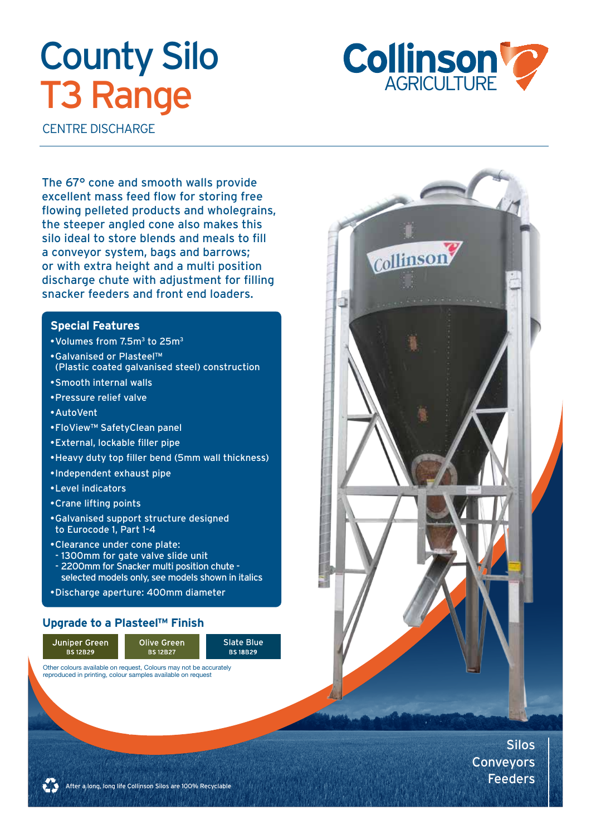# **County Silo T3 Range**



Collinson

CENTRE DISCHARGE

The 67° cone and smooth walls provide excellent mass feed flow for storing free flowing pelleted products and wholegrains, the steeper angled cone also makes this silo ideal to store blends and meals to fill a conveyor system, bags and barrows; or with extra height and a multi position discharge chute with adjustment for filling snacker feeders and front end loaders.

#### **Special Features**

- • Volumes from 7.5m3 to 25m3
- • Galvanised or Plasteel™ (Plastic coated galvanised steel) construction
- • Smooth internal walls
- • Pressure relief valve
- • AutoVent
- • FloView™ SafetyClean panel
- • External, lockable filler pipe
- • Heavy duty top filler bend (5mm wall thickness)
- • Independent exhaust pipe
- • Level indicators
- • Crane lifting points
- • Galvanised support structure designed to Eurocode 1, Part 1-4
- • Clearance under cone plate: - 1300mm for gate valve slide unit
- 2200mm for Snacker multi position chute selected models only, see models shown in italics

Slate Blue<br>BS18B29

• Discharge aperture: 400mm diameter

#### **Upgrade to a Plasteel™ Finish**



Silos Conveyors Feeders